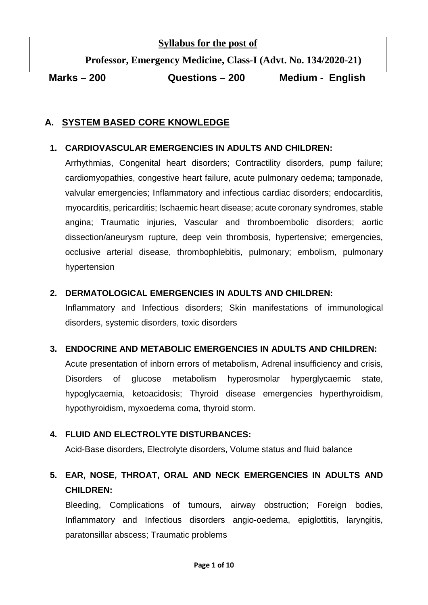# **Syllabus for the post of**

 **Professor, Emergency Medicine, Class-I (Advt. No. 134/2020-21)**

**Marks – 200 Questions – 200 Medium - English**

# **A. SYSTEM BASED CORE KNOWLEDGE**

# **1. CARDIOVASCULAR EMERGENCIES IN ADULTS AND CHILDREN:**

Arrhythmias, Congenital heart disorders; Contractility disorders, pump failure; cardiomyopathies, congestive heart failure, acute pulmonary oedema; tamponade, valvular emergencies; Inflammatory and infectious cardiac disorders; endocarditis, myocarditis, pericarditis; Ischaemic heart disease; acute coronary syndromes, stable angina; Traumatic injuries, Vascular and thromboembolic disorders; aortic dissection/aneurysm rupture, deep vein thrombosis, hypertensive; emergencies, occlusive arterial disease, thrombophlebitis, pulmonary; embolism, pulmonary hypertension

# **2. DERMATOLOGICAL EMERGENCIES IN ADULTS AND CHILDREN:**

Inflammatory and Infectious disorders; Skin manifestations of immunological disorders, systemic disorders, toxic disorders

# **3. ENDOCRINE AND METABOLIC EMERGENCIES IN ADULTS AND CHILDREN:**

Acute presentation of inborn errors of metabolism, Adrenal insufficiency and crisis, Disorders of glucose metabolism hyperosmolar hyperglycaemic state, hypoglycaemia, ketoacidosis; Thyroid disease emergencies hyperthyroidism, hypothyroidism, myxoedema coma, thyroid storm.

# **4. FLUID AND ELECTROLYTE DISTURBANCES:**

Acid-Base disorders, Electrolyte disorders, Volume status and fluid balance

# **5. EAR, NOSE, THROAT, ORAL AND NECK EMERGENCIES IN ADULTS AND CHILDREN:**

Bleeding, Complications of tumours, airway obstruction; Foreign bodies, Inflammatory and Infectious disorders angio-oedema, epiglottitis, laryngitis, paratonsillar abscess; Traumatic problems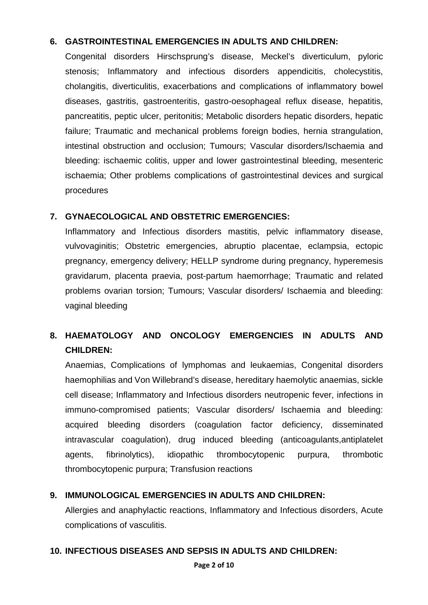# **6. GASTROINTESTINAL EMERGENCIES IN ADULTS AND CHILDREN:**

Congenital disorders Hirschsprung's disease, Meckel's diverticulum, pyloric stenosis; Inflammatory and infectious disorders appendicitis, cholecystitis, cholangitis, diverticulitis, exacerbations and complications of inflammatory bowel diseases, gastritis, gastroenteritis, gastro-oesophageal reflux disease, hepatitis, pancreatitis, peptic ulcer, peritonitis; Metabolic disorders hepatic disorders, hepatic failure; Traumatic and mechanical problems foreign bodies, hernia strangulation, intestinal obstruction and occlusion; Tumours; Vascular disorders/Ischaemia and bleeding: ischaemic colitis, upper and lower gastrointestinal bleeding, mesenteric ischaemia; Other problems complications of gastrointestinal devices and surgical procedures

# **7. GYNAECOLOGICAL AND OBSTETRIC EMERGENCIES:**

Inflammatory and Infectious disorders mastitis, pelvic inflammatory disease, vulvovaginitis; Obstetric emergencies, abruptio placentae, eclampsia, ectopic pregnancy, emergency delivery; HELLP syndrome during pregnancy, hyperemesis gravidarum, placenta praevia, post-partum haemorrhage; Traumatic and related problems ovarian torsion; Tumours; Vascular disorders/ Ischaemia and bleeding: vaginal bleeding

# **8. HAEMATOLOGY AND ONCOLOGY EMERGENCIES IN ADULTS AND CHILDREN:**

Anaemias, Complications of lymphomas and leukaemias, Congenital disorders haemophilias and Von Willebrand's disease, hereditary haemolytic anaemias, sickle cell disease; Inflammatory and Infectious disorders neutropenic fever, infections in immuno-compromised patients; Vascular disorders/ Ischaemia and bleeding: acquired bleeding disorders (coagulation factor deficiency, disseminated intravascular coagulation), drug induced bleeding (anticoagulants,antiplatelet agents, fibrinolytics), idiopathic thrombocytopenic purpura, thrombotic thrombocytopenic purpura; Transfusion reactions

# **9. IMMUNOLOGICAL EMERGENCIES IN ADULTS AND CHILDREN:**

Allergies and anaphylactic reactions, Inflammatory and Infectious disorders, Acute complications of vasculitis.

# **10. INFECTIOUS DISEASES AND SEPSIS IN ADULTS AND CHILDREN:**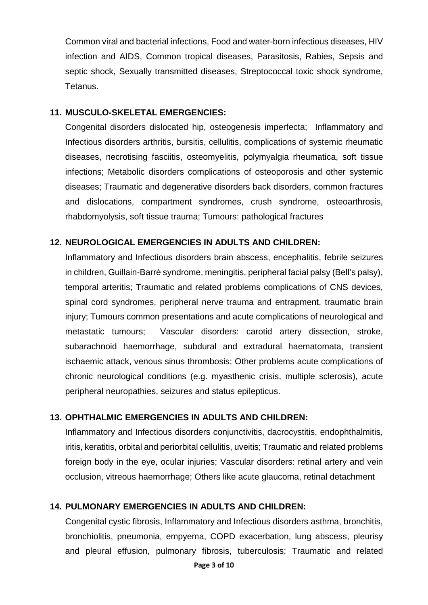Common viral and bacterial infections, Food and water-born infectious diseases, HIV infection and AIDS, Common tropical diseases, Parasitosis, Rabies, Sepsis and septic shock, Sexually transmitted diseases, Streptococcal toxic shock syndrome, Tetanus.

#### **11. MUSCULO-SKELETAL EMERGENCIES:**

Congenital disorders dislocated hip, osteogenesis imperfecta; Inflammatory and Infectious disorders arthritis, bursitis, cellulitis, complications of systemic rheumatic diseases, necrotising fasciitis, osteomyelitis, polymyalgia rheumatica, soft tissue infections; Metabolic disorders complications of osteoporosis and other systemic diseases; Traumatic and degenerative disorders back disorders, common fractures and dislocations, compartment syndromes, crush syndrome, osteoarthrosis, rhabdomyolysis, soft tissue trauma; Tumours: pathological fractures

# **12. NEUROLOGICAL EMERGENCIES IN ADULTS AND CHILDREN:**

Inflammatory and Infectious disorders brain abscess, encephalitis, febrile seizures in children, Guillain-Barrè syndrome, meningitis, peripheral facial palsy (Bell's palsy), temporal arteritis; Traumatic and related problems complications of CNS devices, spinal cord syndromes, peripheral nerve trauma and entrapment, traumatic brain injury; Tumours common presentations and acute complications of neurological and metastatic tumours; Vascular disorders: carotid artery dissection, stroke, subarachnoid haemorrhage, subdural and extradural haematomata, transient ischaemic attack, venous sinus thrombosis; Other problems acute complications of chronic neurological conditions (e.g. myasthenic crisis, multiple sclerosis), acute peripheral neuropathies, seizures and status epilepticus.

# **13. OPHTHALMIC EMERGENCIES IN ADULTS AND CHILDREN:**

Inflammatory and Infectious disorders conjunctivitis, dacrocystitis, endophthalmitis, iritis, keratitis, orbital and periorbital cellulitis, uveitis; Traumatic and related problems foreign body in the eye, ocular injuries; Vascular disorders: retinal artery and vein occlusion, vitreous haemorrhage; Others like acute glaucoma, retinal detachment

# **14. PULMONARY EMERGENCIES IN ADULTS AND CHILDREN:**

Congenital cystic fibrosis, Inflammatory and Infectious disorders asthma, bronchitis, bronchiolitis, pneumonia, empyema, COPD exacerbation, lung abscess, pleurisy and pleural effusion, pulmonary fibrosis, tuberculosis; Traumatic and related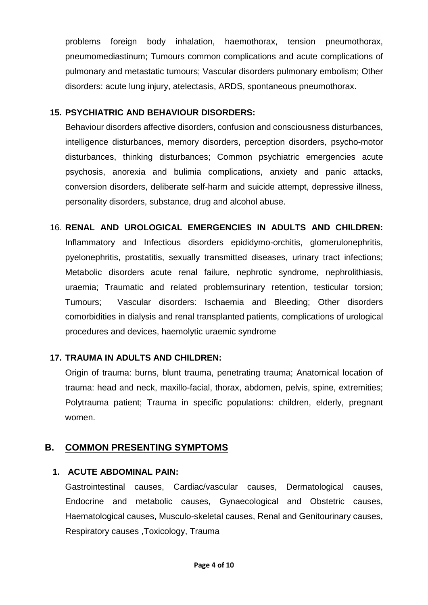problems foreign body inhalation, haemothorax, tension pneumothorax, pneumomediastinum; Tumours common complications and acute complications of pulmonary and metastatic tumours; Vascular disorders pulmonary embolism; Other disorders: acute lung injury, atelectasis, ARDS, spontaneous pneumothorax.

## **15. PSYCHIATRIC AND BEHAVIOUR DISORDERS:**

Behaviour disorders affective disorders, confusion and consciousness disturbances, intelligence disturbances, memory disorders, perception disorders, psycho-motor disturbances, thinking disturbances; Common psychiatric emergencies acute psychosis, anorexia and bulimia complications, anxiety and panic attacks, conversion disorders, deliberate self-harm and suicide attempt, depressive illness, personality disorders, substance, drug and alcohol abuse.

16. **RENAL AND UROLOGICAL EMERGENCIES IN ADULTS AND CHILDREN:** Inflammatory and Infectious disorders epididymo-orchitis, glomerulonephritis, pyelonephritis, prostatitis, sexually transmitted diseases, urinary tract infections; Metabolic disorders acute renal failure, nephrotic syndrome, nephrolithiasis, uraemia; Traumatic and related problemsurinary retention, testicular torsion; Tumours; Vascular disorders: Ischaemia and Bleeding; Other disorders comorbidities in dialysis and renal transplanted patients, complications of urological procedures and devices, haemolytic uraemic syndrome

# **17. TRAUMA IN ADULTS AND CHILDREN:**

Origin of trauma: burns, blunt trauma, penetrating trauma; Anatomical location of trauma: head and neck, maxillo-facial, thorax, abdomen, pelvis, spine, extremities; Polytrauma patient; Trauma in specific populations: children, elderly, pregnant women.

# **B. COMMON PRESENTING SYMPTOMS**

# **1. ACUTE ABDOMINAL PAIN:**

Gastrointestinal causes, Cardiac/vascular causes, Dermatological causes, Endocrine and metabolic causes, Gynaecological and Obstetric causes, Haematological causes, Musculo-skeletal causes, Renal and Genitourinary causes, Respiratory causes ,Toxicology, Trauma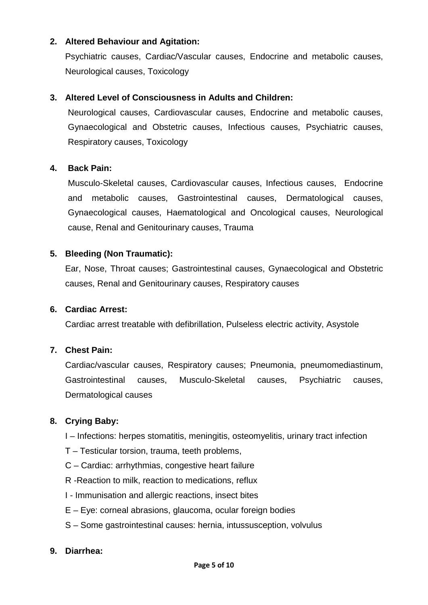## **2. Altered Behaviour and Agitation:**

Psychiatric causes, Cardiac/Vascular causes, Endocrine and metabolic causes, Neurological causes, Toxicology

#### **3. Altered Level of Consciousness in Adults and Children:**

Neurological causes, Cardiovascular causes, Endocrine and metabolic causes, Gynaecological and Obstetric causes, Infectious causes, Psychiatric causes, Respiratory causes, Toxicology

#### **4. Back Pain:**

Musculo-Skeletal causes, Cardiovascular causes, Infectious causes, Endocrine and metabolic causes, Gastrointestinal causes, Dermatological causes, Gynaecological causes, Haematological and Oncological causes, Neurological cause, Renal and Genitourinary causes, Trauma

#### **5. Bleeding (Non Traumatic):**

Ear, Nose, Throat causes; Gastrointestinal causes, Gynaecological and Obstetric causes, Renal and Genitourinary causes, Respiratory causes

#### **6. Cardiac Arrest:**

Cardiac arrest treatable with defibrillation, Pulseless electric activity, Asystole

#### **7. Chest Pain:**

Cardiac/vascular causes, Respiratory causes; Pneumonia, pneumomediastinum, Gastrointestinal causes, Musculo-Skeletal causes, Psychiatric causes, Dermatological causes

# **8. Crying Baby:**

- I Infections: herpes stomatitis, meningitis, osteomyelitis, urinary tract infection
- T Testicular torsion, trauma, teeth problems,
- C Cardiac: arrhythmias, congestive heart failure
- R -Reaction to milk, reaction to medications, reflux
- I Immunisation and allergic reactions, insect bites
- E Eye: corneal abrasions, glaucoma, ocular foreign bodies
- S Some gastrointestinal causes: hernia, intussusception, volvulus

#### **9. Diarrhea:**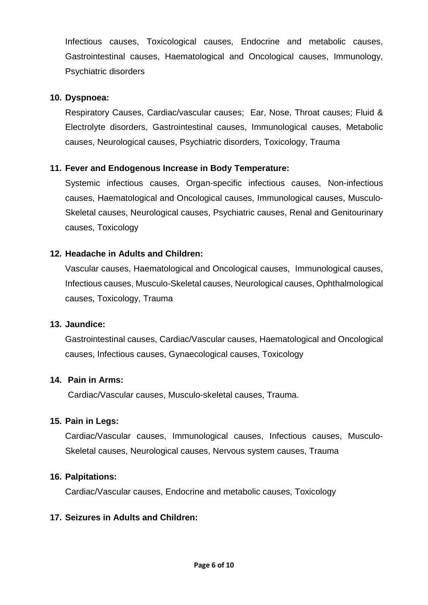Infectious causes, Toxicological causes, Endocrine and metabolic causes, Gastrointestinal causes, Haematological and Oncological causes, Immunology, Psychiatric disorders

#### **10. Dyspnoea:**

Respiratory Causes, Cardiac/vascular causes; Ear, Nose, Throat causes; Fluid & Electrolyte disorders, Gastrointestinal causes, Immunological causes, Metabolic causes, Neurological causes, Psychiatric disorders, Toxicology, Trauma

# **11. Fever and Endogenous Increase in Body Temperature:**

Systemic infectious causes, Organ-specific infectious causes, Non-infectious causes, Haematological and Oncological causes, Immunological causes, Musculo-Skeletal causes, Neurological causes, Psychiatric causes, Renal and Genitourinary causes, Toxicology

#### **12. Headache in Adults and Children:**

Vascular causes, Haematological and Oncological causes, Immunological causes, Infectious causes, Musculo-Skeletal causes, Neurological causes, Ophthalmological causes, Toxicology, Trauma

#### **13. Jaundice:**

Gastrointestinal causes, Cardiac/Vascular causes, Haematological and Oncological causes, Infectious causes, Gynaecological causes, Toxicology

#### **14. Pain in Arms:**

Cardiac/Vascular causes, Musculo-skeletal causes, Trauma.

#### **15. Pain in Legs:**

Cardiac/Vascular causes, Immunological causes, Infectious causes, Musculo-Skeletal causes, Neurological causes, Nervous system causes, Trauma

#### **16. Palpitations:**

Cardiac/Vascular causes, Endocrine and metabolic causes, Toxicology

#### **17. Seizures in Adults and Children:**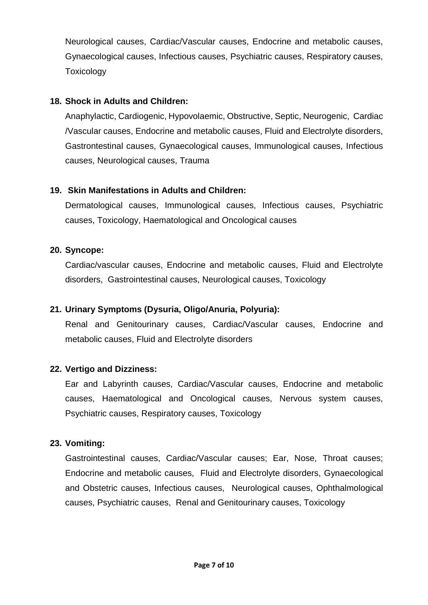Neurological causes, Cardiac/Vascular causes, Endocrine and metabolic causes, Gynaecological causes, Infectious causes, Psychiatric causes, Respiratory causes, Toxicology

## **18. Shock in Adults and Children:**

Anaphylactic, Cardiogenic, Hypovolaemic, Obstructive, Septic, Neurogenic, Cardiac /Vascular causes, Endocrine and metabolic causes, Fluid and Electrolyte disorders, Gastrontestinal causes, Gynaecological causes, Immunological causes, Infectious causes, Neurological causes, Trauma

# **19. Skin Manifestations in Adults and Children:**

Dermatological causes, Immunological causes, Infectious causes, Psychiatric causes, Toxicology, Haematological and Oncological causes

#### **20. Syncope:**

Cardiac/vascular causes, Endocrine and metabolic causes, Fluid and Electrolyte disorders, Gastrointestinal causes, Neurological causes, Toxicology

# **21. Urinary Symptoms (Dysuria, Oligo/Anuria, Polyuria):**

Renal and Genitourinary causes, Cardiac/Vascular causes, Endocrine and metabolic causes, Fluid and Electrolyte disorders

#### **22. Vertigo and Dizziness:**

Ear and Labyrinth causes, Cardiac/Vascular causes, Endocrine and metabolic causes, Haematological and Oncological causes, Nervous system causes, Psychiatric causes, Respiratory causes, Toxicology

#### **23. Vomiting:**

Gastrointestinal causes, Cardiac/Vascular causes; Ear, Nose, Throat causes; Endocrine and metabolic causes, Fluid and Electrolyte disorders, Gynaecological and Obstetric causes, Infectious causes, Neurological causes, Ophthalmological causes, Psychiatric causes, Renal and Genitourinary causes, Toxicology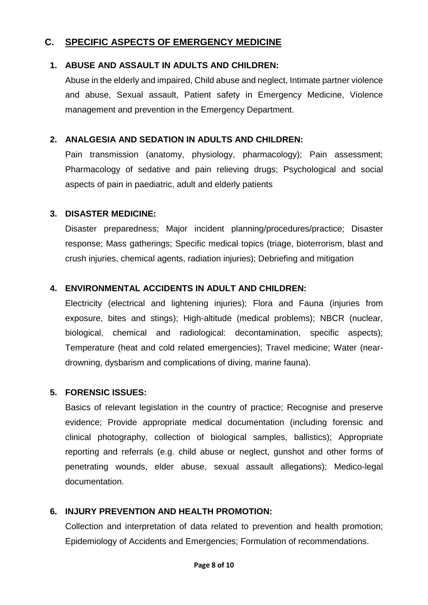# **C. SPECIFIC ASPECTS OF EMERGENCY MEDICINE**

# **1. ABUSE AND ASSAULT IN ADULTS AND CHILDREN:**

Abuse in the elderly and impaired, Child abuse and neglect, Intimate partner violence and abuse, Sexual assault, Patient safety in Emergency Medicine, Violence management and prevention in the Emergency Department.

# **2. ANALGESIA AND SEDATION IN ADULTS AND CHILDREN:**

Pain transmission (anatomy, physiology, pharmacology); Pain assessment; Pharmacology of sedative and pain relieving drugs; Psychological and social aspects of pain in paediatric, adult and elderly patients

# **3. DISASTER MEDICINE:**

Disaster preparedness; Major incident planning/procedures/practice; Disaster response; Mass gatherings; Specific medical topics (triage, bioterrorism, blast and crush injuries, chemical agents, radiation injuries); Debriefing and mitigation

# **4. ENVIRONMENTAL ACCIDENTS IN ADULT AND CHILDREN:**

Electricity (electrical and lightening injuries); Flora and Fauna (injuries from exposure, bites and stings); High-altitude (medical problems); NBCR (nuclear, biological, chemical and radiological: decontamination, specific aspects); Temperature (heat and cold related emergencies); Travel medicine; Water (neardrowning, dysbarism and complications of diving, marine fauna).

# **5. FORENSIC ISSUES:**

Basics of relevant legislation in the country of practice; Recognise and preserve evidence; Provide appropriate medical documentation (including forensic and clinical photography, collection of biological samples, ballistics); Appropriate reporting and referrals (e.g. child abuse or neglect, gunshot and other forms of penetrating wounds, elder abuse, sexual assault allegations); Medico-legal documentation.

# **6. INJURY PREVENTION AND HEALTH PROMOTION:**

Collection and interpretation of data related to prevention and health promotion; Epidemiology of Accidents and Emergencies; Formulation of recommendations.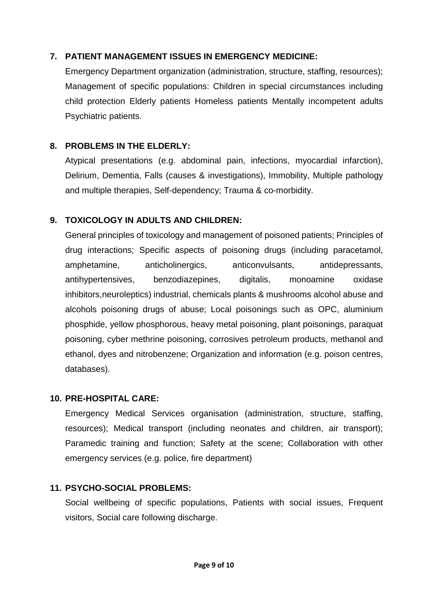# **7. PATIENT MANAGEMENT ISSUES IN EMERGENCY MEDICINE:**

Emergency Department organization (administration, structure, staffing, resources); Management of specific populations: Children in special circumstances including child protection Elderly patients Homeless patients Mentally incompetent adults Psychiatric patients.

# **8. PROBLEMS IN THE ELDERLY:**

Atypical presentations (e.g. abdominal pain, infections, myocardial infarction), Delirium, Dementia, Falls (causes & investigations), Immobility, Multiple pathology and multiple therapies, Self-dependency; Trauma & co-morbidity.

# **9. TOXICOLOGY IN ADULTS AND CHILDREN:**

General principles of toxicology and management of poisoned patients; Principles of drug interactions; Specific aspects of poisoning drugs (including paracetamol, amphetamine, anticholinergics, anticonvulsants, antidepressants, antihypertensives, benzodiazepines, digitalis, monoamine oxidase inhibitors,neuroleptics) industrial, chemicals plants & mushrooms alcohol abuse and alcohols poisoning drugs of abuse; Local poisonings such as OPC, aluminium phosphide, yellow phosphorous, heavy metal poisoning, plant poisonings, paraquat poisoning, cyber methrine poisoning, corrosives petroleum products, methanol and ethanol, dyes and nitrobenzene; Organization and information (e.g. poison centres, databases).

# **10. PRE-HOSPITAL CARE:**

Emergency Medical Services organisation (administration, structure, staffing, resources); Medical transport (including neonates and children, air transport); Paramedic training and function; Safety at the scene; Collaboration with other emergency services (e.g. police, fire department)

# **11. PSYCHO-SOCIAL PROBLEMS:**

Social wellbeing of specific populations, Patients with social issues, Frequent visitors, Social care following discharge.